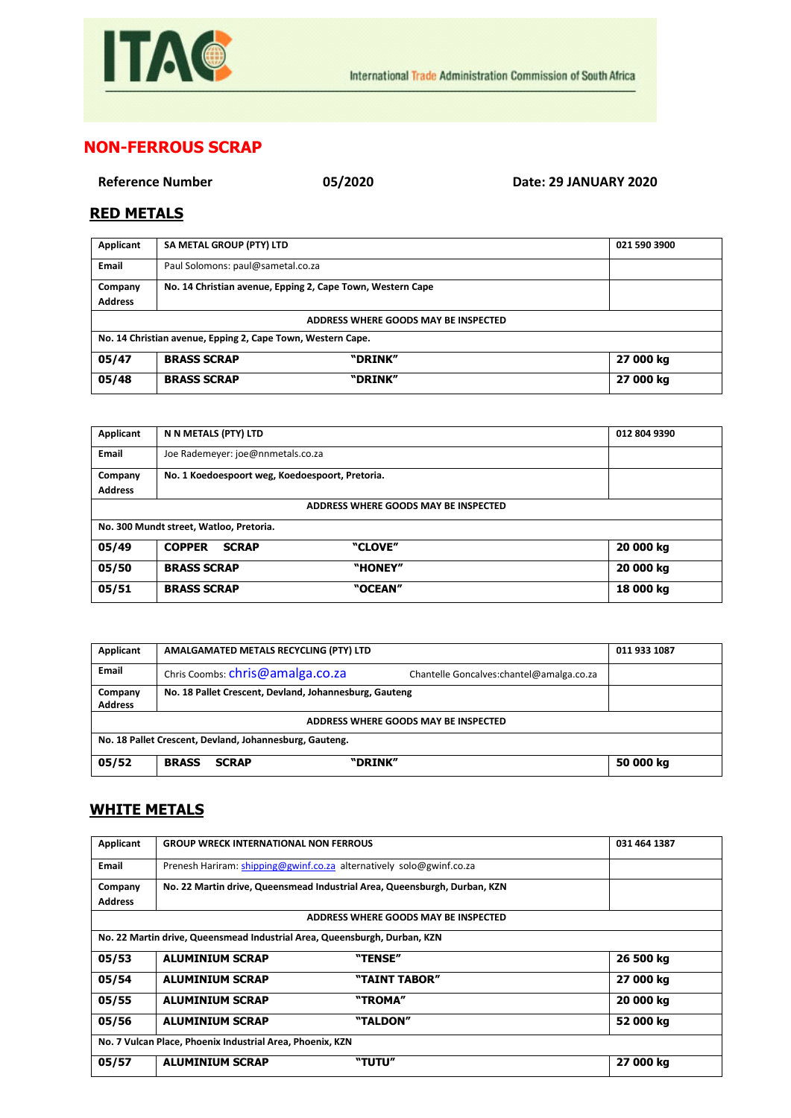

## **NON-FERROUS SCRAP**

**Reference Number 05/2020 Date: 29 JANUARY 2020**

## **RED METALS**

| Applicant                                                   | SA METAL GROUP (PTY) LTD          |                                                            | 021 590 3900 |
|-------------------------------------------------------------|-----------------------------------|------------------------------------------------------------|--------------|
| Email                                                       | Paul Solomons: paul@sametal.co.za |                                                            |              |
| Company                                                     |                                   | No. 14 Christian avenue, Epping 2, Cape Town, Western Cape |              |
| <b>Address</b>                                              |                                   |                                                            |              |
| ADDRESS WHERE GOODS MAY BE INSPECTED                        |                                   |                                                            |              |
| No. 14 Christian avenue, Epping 2, Cape Town, Western Cape. |                                   |                                                            |              |
| 05/47                                                       | <b>BRASS SCRAP</b>                | "DRINK"                                                    | 27 000 kg    |
| 05/48                                                       | <b>BRASS SCRAP</b>                | "DRINK"                                                    | 27 000 kg    |

| Applicant                               | N N METALS (PTY) LTD                            | 012 804 9390 |  |
|-----------------------------------------|-------------------------------------------------|--------------|--|
| <b>Email</b>                            | Joe Rademeyer: joe@nnmetals.co.za               |              |  |
| Company                                 | No. 1 Koedoespoort weg, Koedoespoort, Pretoria. |              |  |
| <b>Address</b>                          |                                                 |              |  |
|                                         | ADDRESS WHERE GOODS MAY BE INSPECTED            |              |  |
| No. 300 Mundt street, Watloo, Pretoria. |                                                 |              |  |
| 05/49                                   | "CLOVE"<br><b>COPPER</b><br><b>SCRAP</b>        | 20 000 kg    |  |
| 05/50                                   | "HONEY"<br><b>BRASS SCRAP</b>                   | 20 000 kg    |  |
| 05/51                                   | "OCEAN"<br><b>BRASS SCRAP</b>                   | 18 000 kg    |  |

| Applicant                                               | AMALGAMATED METALS RECYCLING (PTY) LTD                 | 011 933 1087                              |  |
|---------------------------------------------------------|--------------------------------------------------------|-------------------------------------------|--|
| <b>Email</b>                                            | Chris Coombs: chris@amalga.co.za                       | Chantelle Goncalves: chantel@amalga.co.za |  |
| Company<br><b>Address</b>                               | No. 18 Pallet Crescent, Devland, Johannesburg, Gauteng |                                           |  |
| ADDRESS WHERE GOODS MAY BE INSPECTED                    |                                                        |                                           |  |
| No. 18 Pallet Crescent, Devland, Johannesburg, Gauteng. |                                                        |                                           |  |
| 05/52                                                   | "DRINK"<br><b>BRASS</b><br><b>SCRAP</b>                | 50 000 kg                                 |  |

## **WHITE METALS**

| Applicant                                                 | <b>GROUP WRECK INTERNATIONAL NON FERROUS</b>                              |                                                                           | 031 464 1387 |  |
|-----------------------------------------------------------|---------------------------------------------------------------------------|---------------------------------------------------------------------------|--------------|--|
| Email                                                     |                                                                           | Prenesh Hariram: shipping@gwinf.co.za alternatively solo@gwinf.co.za      |              |  |
| Company                                                   |                                                                           | No. 22 Martin drive, Queensmead Industrial Area, Queensburgh, Durban, KZN |              |  |
| <b>Address</b>                                            |                                                                           |                                                                           |              |  |
|                                                           |                                                                           | ADDRESS WHERE GOODS MAY BE INSPECTED                                      |              |  |
|                                                           | No. 22 Martin drive, Queensmead Industrial Area, Queensburgh, Durban, KZN |                                                                           |              |  |
| 05/53                                                     | <b>ALUMINIUM SCRAP</b>                                                    | "TENSE"                                                                   | 26 500 kg    |  |
| 05/54                                                     | <b>ALUMINIUM SCRAP</b>                                                    | "TAINT TABOR"                                                             | 27 000 kg    |  |
| 05/55                                                     | <b>ALUMINIUM SCRAP</b>                                                    | "TROMA"                                                                   | 20 000 kg    |  |
| 05/56                                                     | <b>ALUMINIUM SCRAP</b>                                                    | "TALDON"                                                                  | 52 000 kg    |  |
| No. 7 Vulcan Place, Phoenix Industrial Area, Phoenix, KZN |                                                                           |                                                                           |              |  |
| 05/57                                                     | <b>ALUMINIUM SCRAP</b>                                                    | "TUTU"                                                                    | 27 000 kg    |  |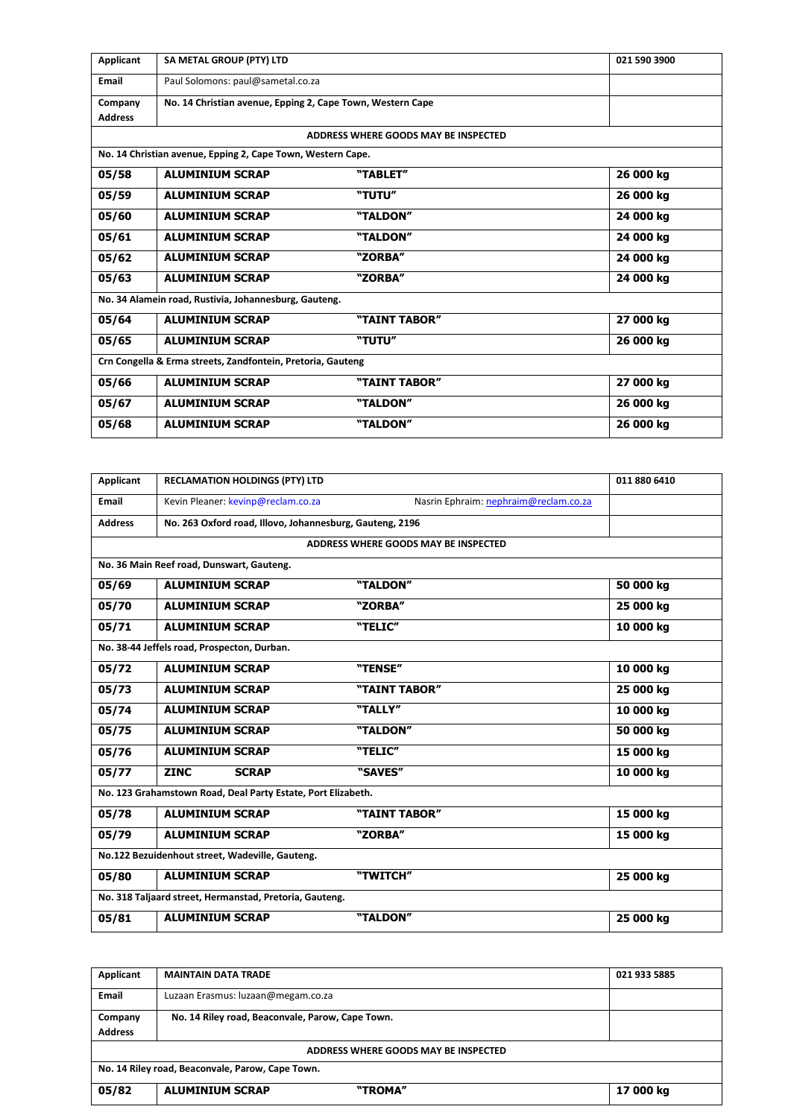| Applicant                                                   | SA METAL GROUP (PTY) LTD                                    |                                      | 021 590 3900 |  |
|-------------------------------------------------------------|-------------------------------------------------------------|--------------------------------------|--------------|--|
| <b>Email</b>                                                | Paul Solomons: paul@sametal.co.za                           |                                      |              |  |
| Company                                                     | No. 14 Christian avenue, Epping 2, Cape Town, Western Cape  |                                      |              |  |
| <b>Address</b>                                              |                                                             |                                      |              |  |
|                                                             |                                                             | ADDRESS WHERE GOODS MAY BE INSPECTED |              |  |
|                                                             | No. 14 Christian avenue, Epping 2, Cape Town, Western Cape. |                                      |              |  |
| 05/58                                                       | <b>ALUMINIUM SCRAP</b>                                      | "TABLET"                             | 26 000 kg    |  |
| 05/59                                                       | <b>ALUMINIUM SCRAP</b>                                      | "TUTU"                               | 26 000 kg    |  |
| 05/60                                                       | <b>ALUMINIUM SCRAP</b>                                      | "TALDON"                             | 24 000 kg    |  |
| 05/61                                                       | <b>ALUMINIUM SCRAP</b>                                      | "TALDON"                             | 24 000 kg    |  |
| 05/62                                                       | <b>ALUMINIUM SCRAP</b>                                      | "ZORBA"                              | 24 000 kg    |  |
| 05/63                                                       | <b>ALUMINIUM SCRAP</b>                                      | "ZORBA"                              | 24 000 kg    |  |
|                                                             | No. 34 Alamein road, Rustivia, Johannesburg, Gauteng.       |                                      |              |  |
| 05/64                                                       | <b>ALUMINIUM SCRAP</b>                                      | "TAINT TABOR"                        | 27 000 kg    |  |
| 05/65                                                       | <b>ALUMINIUM SCRAP</b>                                      | "TUTU"                               | 26 000 kg    |  |
| Crn Congella & Erma streets, Zandfontein, Pretoria, Gauteng |                                                             |                                      |              |  |
| 05/66                                                       | <b>ALUMINIUM SCRAP</b>                                      | "TAINT TABOR"                        | 27 000 kg    |  |
| 05/67                                                       | <b>ALUMINIUM SCRAP</b>                                      | "TALDON"                             | 26 000 kg    |  |
| 05/68                                                       | <b>ALUMINIUM SCRAP</b>                                      | "TALDON"                             | 26 000 kg    |  |

| Applicant                                               | <b>RECLAMATION HOLDINGS (PTY) LTD</b>                        |                                       | 011 880 6410 |
|---------------------------------------------------------|--------------------------------------------------------------|---------------------------------------|--------------|
| Email                                                   | Kevin Pleaner: kevinp@reclam.co.za                           | Nasrin Ephraim: nephraim@reclam.co.za |              |
| <b>Address</b>                                          | No. 263 Oxford road, Illovo, Johannesburg, Gauteng, 2196     |                                       |              |
|                                                         |                                                              | ADDRESS WHERE GOODS MAY BE INSPECTED  |              |
|                                                         | No. 36 Main Reef road, Dunswart, Gauteng.                    |                                       |              |
| 05/69                                                   | <b>ALUMINIUM SCRAP</b>                                       | "TALDON"                              | 50 000 kg    |
| 05/70                                                   | <b>ALUMINIUM SCRAP</b>                                       | "ZORBA"                               | 25 000 kg    |
| 05/71                                                   | <b>ALUMINIUM SCRAP</b>                                       | "TELIC"                               | 10 000 kg    |
|                                                         | No. 38-44 Jeffels road, Prospecton, Durban.                  |                                       |              |
| 05/72                                                   | <b>ALUMINIUM SCRAP</b>                                       | "TENSE"                               | 10 000 kg    |
| 05/73                                                   | <b>ALUMINIUM SCRAP</b>                                       | "TAINT TABOR"                         | 25 000 kg    |
| 05/74                                                   | <b>ALUMINIUM SCRAP</b>                                       | "TALLY"                               | 10 000 kg    |
| 05/75                                                   | <b>ALUMINIUM SCRAP</b>                                       | "TALDON"                              | 50 000 kg    |
| 05/76                                                   | <b>ALUMINIUM SCRAP</b>                                       | "TELIC"                               | 15 000 kg    |
| 05/77                                                   | <b>ZINC</b><br><b>SCRAP</b>                                  | "SAVES"                               | 10 000 kg    |
|                                                         | No. 123 Grahamstown Road, Deal Party Estate, Port Elizabeth. |                                       |              |
| 05/78                                                   | <b>ALUMINIUM SCRAP</b>                                       | "TAINT TABOR"                         | 15 000 kg    |
| 05/79                                                   | <b>ALUMINIUM SCRAP</b>                                       | "ZORBA"                               | 15 000 kg    |
| No.122 Bezuidenhout street, Wadeville, Gauteng.         |                                                              |                                       |              |
| 05/80                                                   | <b>ALUMINIUM SCRAP</b>                                       | "TWITCH"                              | 25 000 kg    |
| No. 318 Taljaard street, Hermanstad, Pretoria, Gauteng. |                                                              |                                       |              |
| 05/81                                                   | <b>ALUMINIUM SCRAP</b>                                       | "TALDON"                              | 25 000 kg    |

| Applicant                                        | <b>MAINTAIN DATA TRADE</b>                       | 021 933 5885 |  |
|--------------------------------------------------|--------------------------------------------------|--------------|--|
| <b>Email</b>                                     | Luzaan Erasmus: luzaan@megam.co.za               |              |  |
| Company                                          | No. 14 Riley road, Beaconvale, Parow, Cape Town. |              |  |
| <b>Address</b>                                   |                                                  |              |  |
| ADDRESS WHERE GOODS MAY BE INSPECTED             |                                                  |              |  |
| No. 14 Riley road, Beaconvale, Parow, Cape Town. |                                                  |              |  |
| 05/82                                            | "TROMA"<br><b>ALUMINIUM SCRAP</b>                | 17 000 kg    |  |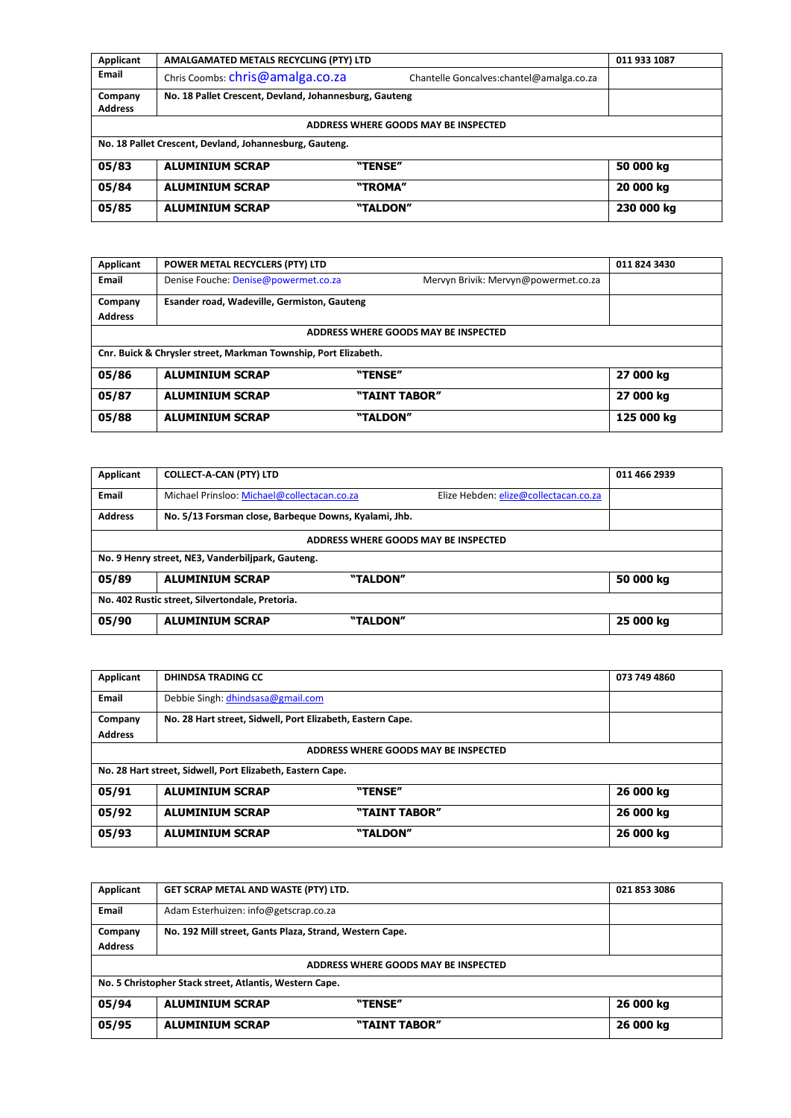| Applicant                                               | AMALGAMATED METALS RECYCLING (PTY) LTD                 |                                           | 011 933 1087 |
|---------------------------------------------------------|--------------------------------------------------------|-------------------------------------------|--------------|
| Email                                                   | Chris Coombs: chris@amalga.co.za                       | Chantelle Goncalves: chantel@amalga.co.za |              |
| Company                                                 | No. 18 Pallet Crescent, Devland, Johannesburg, Gauteng |                                           |              |
| <b>Address</b>                                          |                                                        |                                           |              |
|                                                         |                                                        | ADDRESS WHERE GOODS MAY BE INSPECTED      |              |
| No. 18 Pallet Crescent, Devland, Johannesburg, Gauteng. |                                                        |                                           |              |
| 05/83                                                   | <b>ALUMINIUM SCRAP</b>                                 | "TENSE"                                   | 50 000 kg    |
| 05/84                                                   | <b>ALUMINIUM SCRAP</b>                                 | "TROMA"                                   | 20 000 kg    |
| 05/85                                                   | <b>ALUMINIUM SCRAP</b>                                 | "TALDON"                                  | 230 000 kg   |

| Applicant      | POWER METAL RECYCLERS (PTY) LTD                                 |                                      | 011 824 3430 |
|----------------|-----------------------------------------------------------------|--------------------------------------|--------------|
| Email          | Denise Fouche: Denise@powermet.co.za                            | Mervyn Brivik: Mervyn@powermet.co.za |              |
| Company        | Esander road, Wadeville, Germiston, Gauteng                     |                                      |              |
| <b>Address</b> |                                                                 |                                      |              |
|                |                                                                 | ADDRESS WHERE GOODS MAY BE INSPECTED |              |
|                | Cnr. Buick & Chrysler street, Markman Township, Port Elizabeth. |                                      |              |
| 05/86          | <b>ALUMINIUM SCRAP</b>                                          | "TENSE"                              | 27 000 kg    |
| 05/87          | <b>ALUMINIUM SCRAP</b>                                          | "TAINT TABOR"                        | 27 000 kg    |
| 05/88          | <b>ALUMINIUM SCRAP</b>                                          | "TALDON"                             | 125 000 kg   |

| Applicant                                       | <b>COLLECT-A-CAN (PTY) LTD</b>                        |                                       | 011 466 2939 |  |
|-------------------------------------------------|-------------------------------------------------------|---------------------------------------|--------------|--|
| <b>Email</b>                                    | Michael Prinsloo: Michael@collectacan.co.za           | Elize Hebden: elize@collectacan.co.za |              |  |
| <b>Address</b>                                  | No. 5/13 Forsman close, Barbeque Downs, Kyalami, Jhb. |                                       |              |  |
|                                                 |                                                       | ADDRESS WHERE GOODS MAY BE INSPECTED  |              |  |
|                                                 | No. 9 Henry street, NE3, Vanderbilipark, Gauteng.     |                                       |              |  |
| 05/89                                           | <b>ALUMINIUM SCRAP</b>                                | "TALDON"                              | 50 000 kg    |  |
| No. 402 Rustic street, Silvertondale, Pretoria. |                                                       |                                       |              |  |
| 05/90                                           | <b>ALUMINIUM SCRAP</b>                                | "TALDON"                              | 25 000 kg    |  |

| Applicant                                                  | <b>DHINDSA TRADING CC</b>                                  |                                      | 073 749 4860 |
|------------------------------------------------------------|------------------------------------------------------------|--------------------------------------|--------------|
| <b>Email</b>                                               | Debbie Singh: dhindsasa@gmail.com                          |                                      |              |
| Company                                                    | No. 28 Hart street, Sidwell, Port Elizabeth, Eastern Cape. |                                      |              |
| <b>Address</b>                                             |                                                            |                                      |              |
|                                                            |                                                            | ADDRESS WHERE GOODS MAY BE INSPECTED |              |
| No. 28 Hart street, Sidwell, Port Elizabeth, Eastern Cape. |                                                            |                                      |              |
| 05/91                                                      | <b>ALUMINIUM SCRAP</b>                                     | "TENSE"                              | 26 000 kg    |
| 05/92                                                      | <b>ALUMINIUM SCRAP</b>                                     | "TAINT TABOR"                        | 26 000 kg    |
| 05/93                                                      | <b>ALUMINIUM SCRAP</b>                                     | "TALDON"                             | 26 000 kg    |

| Applicant                                               | GET SCRAP METAL AND WASTE (PTY) LTD.                    | 021 853 3086 |  |
|---------------------------------------------------------|---------------------------------------------------------|--------------|--|
| <b>Email</b>                                            | Adam Esterhuizen: info@getscrap.co.za                   |              |  |
| Company                                                 | No. 192 Mill street, Gants Plaza, Strand, Western Cape. |              |  |
| <b>Address</b>                                          |                                                         |              |  |
| ADDRESS WHERE GOODS MAY BE INSPECTED                    |                                                         |              |  |
| No. 5 Christopher Stack street, Atlantis, Western Cape. |                                                         |              |  |
| 05/94                                                   | "TENSE"<br><b>ALUMINIUM SCRAP</b>                       | 26 000 kg    |  |
| 05/95                                                   | <b>ALUMINIUM SCRAP</b><br>"TAINT TABOR"                 | 26 000 kg    |  |